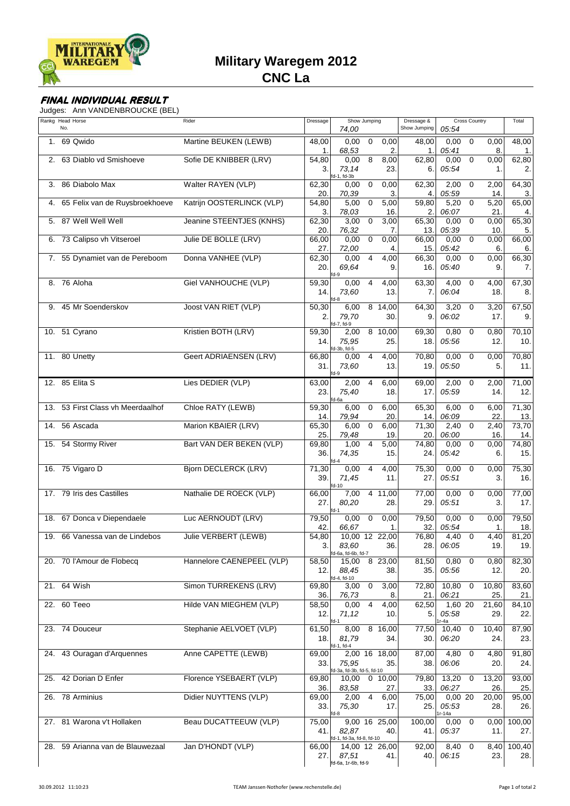

# **Military Waregem 2012**

## **CNC La**

### **FINAL INDIVIDUAL RESULT**

Judges: Ann VANDENBROUCKE (BEL)

|     | Rankg Head Horse<br>No.          | Rider                       | Dressage     | Show Jumping<br>74,00                                              | Dressage &<br>Show Jumping | Cross Country<br>05:54                      | Total         |
|-----|----------------------------------|-----------------------------|--------------|--------------------------------------------------------------------|----------------------------|---------------------------------------------|---------------|
| 1.  | 69 Qwido                         | Martine BEUKEN (LEWB)       | 48,00<br>1.  | 0,00<br>0<br>0,00<br>68,53<br>2                                    | 48,00<br>1.                | $\mathbf 0$<br>0,00<br>0,00<br>05:41<br>8.  | 48,00<br>1.   |
| 2.  | 63 Diablo vd Smishoeve           | Sofie DE KNIBBER (LRV)      | 54,80<br>3.  | 8<br>0,00<br>8,00<br>73,14<br>23.<br>fd-1, fd-3b                   | 62,80<br>6.                | $\mathbf 0$<br>0,00<br>0,00<br>05:54<br>1.  | 62,80<br>2.   |
| 3.  | 86 Diabolo Max                   | Walter RAYEN (VLP)          | 62,30<br>20. | 0,00<br>$\mathbf 0$<br>0,00<br>70,39<br>3                          | 62,30<br>4.                | 2,00<br>$\mathbf 0$<br>2,00<br>05:59<br>14. | 64,30<br>3.   |
| 4.  | 65 Felix van de Ruysbroekhoeve   | Katrijn OOSTERLINCK (VLP)   | 54,80<br>3.  | 5,00<br>5,00<br>$\mathbf 0$<br>78,03<br>16                         | 59,80<br>2.                | 5,20<br>5,20<br>$\mathbf 0$<br>06:07<br>21. | 65,00<br>4.   |
|     | 5. 87 Well Well Well             | Jeanine STEENTJES (KNHS)    | 62,30<br>20. | 3,00<br>$\mathbf 0$<br>3,00<br>76,32<br>7.                         | 65,30<br>13.               | $\mathbf 0$<br>0,00<br>0,00<br>05:39<br>10. | 65,30<br>5.   |
|     | 6. 73 Calipso vh Vitseroel       | Julie DE BOLLE (LRV)        | 66,00<br>27. | 0,00<br>$\mathbf 0$<br>0,00<br>72,00<br>4                          | 66,00<br>15.               | 0,00<br>$\mathbf 0$<br>0,00<br>05:42<br>6.  | 66,00<br>6.   |
| 7.  | 55 Dynamiet van de Pereboom      | Donna VANHEE (VLP)          | 62,30<br>20. | $\overline{4}$<br>0,00<br>4,00<br>69,64<br>9.<br>fd-9              | 66,30<br>16.               | 0,00<br>$\mathbf 0$<br>0,00<br>05:40<br>9.  | 66,30<br>7.   |
|     | 8. 76 Aloha                      | Giel VANHOUCHE (VLP)        | 59,30<br>14. | $\overline{4}$<br>4,00<br>0,00<br>73,60<br>13.<br>$A-R$            | 63,30<br>7.                | 4,00<br>$\mathbf 0$<br>4,00<br>06:04<br>18. | 67,30<br>8.   |
| 9.  | 45 Mr Soenderskov                | Joost VAN RIET (VLP)        | 50,30<br>2.  | 6,00<br>8 14,00<br>79,70<br>30.<br>fd-7, fd-9                      | 64,30<br>9.                | 3,20<br>3,20<br>$\mathbf 0$<br>06:02<br>17. | 67,50<br>9.   |
| 10. | 51 Cyrano                        | Kristien BOTH (LRV)         | 59,30<br>14. | 8 10,00<br>2,00<br>75,95<br>25.<br>fd-3b, fd-5                     | 69,30<br>18.               | 0,80<br>$\mathbf 0$<br>0,80<br>05:56<br>12. | 70,10<br>10.  |
|     | 11. 80 Unetty                    | Geert ADRIAENSEN (LRV)      | 66,80<br>31. | $\overline{4}$<br>4,00<br>0,00<br>73,60<br>13.<br>$fd-9$           | 70,80<br>19.               | 0,00<br>$\Omega$<br>0,00<br>05:50<br>5.     | 70,80<br>11.  |
|     | 12. 85 Elita S                   | Lies DEDIER (VLP)           | 63,00<br>23. | 6,00<br>2,00<br>$\overline{4}$<br>75,40<br>18.<br>fd-6a            | 69,00<br>17.               | 2,00<br>2,00<br>$\mathbf 0$<br>05:59<br>14. | 71,00<br>12.  |
| 13. | 53 First Class vh Meerdaalhof    | Chloe RATY (LEWB)           | 59,30<br>14. | 6,00<br>$\mathbf 0$<br>6,00<br>79,94<br>20                         | 65,30<br>14.               | 6,00<br>$\mathbf 0$<br>6,00<br>06:09<br>22  | 71,30<br>13.  |
| 14. | 56 Ascada                        | Marion KBAIER (LRV)         | 65,30<br>25. | 6,00<br>$\mathbf 0$<br>6,00<br>79,48<br>19.                        | 71,30<br>20.               | 2,40<br>2,40<br>0<br>06:00<br>16.           | 73,70<br>14.  |
|     | 15. 54 Stormy River              | Bart VAN DER BEKEN (VLP)    | 69,80<br>36. | 1,00<br>4<br>5,00<br>74,35<br>15.<br>$fd-4$                        | 74,80<br>24.               | 0,00<br>$\mathbf 0$<br>0,00<br>05:42<br>6.  | 74,80<br>15.  |
|     | 16. 75 Vigaro D                  | <b>Bjorn DECLERCK (LRV)</b> | 71,30<br>39. | 0,00<br>4,00<br>4<br>71,45<br>11.<br>fd-10                         | 75,30<br>27.               | 0,00<br>0<br>0,00<br>05:51<br>3.            | 75,30<br>16.  |
|     | 17. 79 Iris des Castilles        | Nathalie DE ROECK (VLP)     | 66.00<br>27. | 7,00<br>4 11.00<br>80,20<br>28.<br>fd-1                            | 77,00<br>29.               | 0,00<br>$\Omega$<br>0,00<br>05:51<br>3.     | 77,00<br>17.  |
|     | 18. 67 Donca v Diependaele       | Luc AERNOUDT (LRV)          | 79,50<br>42. | 0,00<br>$\mathbf 0$<br>0,00<br>66,67<br>1.                         | 79,50<br>32.I              | 0,00<br>$\mathbf 0$<br>0,00<br>05:54<br>1.  | 79,50<br>18.  |
|     | 19. 66 Vanessa van de Lindebos   | Julie VERBERT (LEWB)        | 54,80<br>3.  | 10,00 12 22,00<br>83,60<br>36.                                     | 76,80<br>28.               | 4,40<br>4,40<br>0<br>06:05<br>19.           | 81,20<br>19.  |
|     | 20. 70 l'Amour de Flobecq        | Hannelore CAENEPEEL (VLP)   | 58,50<br>12. | fd-6a, fd-6b, fd-7<br>15,00 8 23,00<br>88,45<br>38.<br>fd-4, fd-10 | 81,50<br>35.               | 0,80<br>$\mathbf 0$<br>0,80<br>05:56<br>12. | 82,30<br>20.  |
|     | 21. 64 Wish                      | Simon TURREKENS (LRV)       | 69,80<br>36. | $\mathbf 0$<br>3,00<br>3,00<br>76,73<br>8.                         | 72,80<br>21.               | 10,80<br>0<br>10,80<br>06:21<br>25.         | 83,60<br>21.  |
|     | 22. 60 Teeo                      | Hilde VAN MIEGHEM (VLP)     | 58,50<br>12. | $\overline{4}$<br>0,00<br>4,00<br>71,12<br>10.                     | 62,50<br>5.                | 1,60 20<br>21,60<br>05:58<br>29.            | 84,10<br>22.  |
|     | 23. 74 Douceur                   | Stephanie AELVOET (VLP)     | 61,50<br>18. | 8,00<br>8 16,00<br>81,79<br>34.<br>fd-1, fd-4                      | 77,50<br>30.               | r-4a<br>10,40<br>10,40<br>0<br>06:20<br>24. | 87,90<br>23.  |
|     | 24. 43 Ouragan d'Arquennes       | Anne CAPETTE (LEWB)         | 69,00<br>33. | 2,00 16 18,00<br>75,95<br>35.<br>fd-3a, fd-3b, fd-5, fd-10         | 87,00<br>38.               | 4,80<br>$\mathbf 0$<br>4,80<br>06:06<br>20. | 91,80<br>24.  |
|     | 25. 42 Dorian D Enfer            | Florence YSEBAERT (VLP)     | 69,80<br>36. | 10,00<br>0,10,00<br>83,58<br>27.                                   | 79,80<br>33.               | 13,20<br>0<br>13,20<br>06:27<br>26.         | 93,00<br>25.  |
|     | 26. 78 Arminius                  | Didier NUYTTENS (VLP)       | 69,00<br>33. | $\overline{4}$<br>2,00<br>6,00<br>75,30<br>17.<br>fd-8             | 75,00<br>25.               | 0,0020<br>20,00<br>05:53<br>28.<br>$r-14a$  | 95,00<br>26.  |
|     | 27. 81 Warona v't Hollaken       | Beau DUCATTEEUW (VLP)       | 75,00<br>41. | 9,00 16 25,00<br>82,87<br>40.<br>fd-1, fd-3a, fd-8, fd-10          | 100,00<br>41.              | 0<br>0,00<br>0,00<br>05:37<br>11.           | 100,00<br>27. |
|     | 28. 59 Arianna van de Blauwezaal | Jan D'HONDT (VLP)           | 66,00<br>27. | 14,00 12 26,00<br>87,51<br>41.<br>fd-6a, 1r-6b, fd-9               | 92,00<br>40.1              | 8,40<br>$\mathbf 0$<br>8,40<br>06:15<br>23. | 100,40<br>28. |